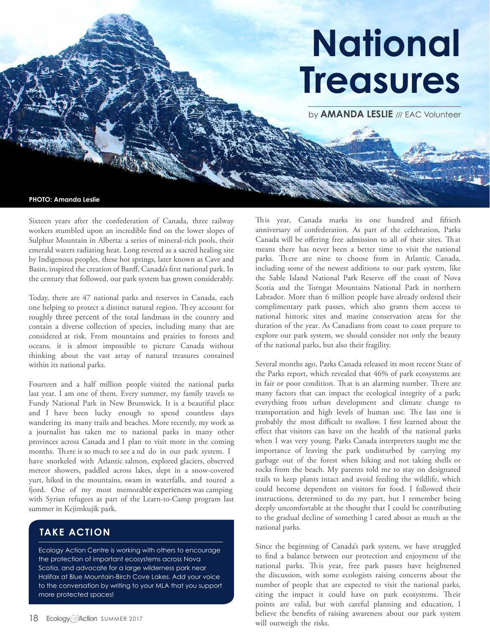# **National Treasures**

by **AMANDA LESLIE** /// EAC Volunteer

**PHOTO: Amanda Leslie**

Sixteen years after the confederation of Canada, three railway workers stumbled upon an incredible find on the lower slopes of Sulphur Mountain in Alberta: a series of mineral-rich pools, their emerald waters radiating heat. Long revered as a sacred healing site by Indigenous peoples, these hot springs, later known as Cave and Basin, inspired the creation of Banff, Canada's first national park. In the century that followed, our park system has grown considerably.

Today, there are 47 national parks and reserves in Canada, each one helping to protect a distinct natural region. They account for roughly three percent of the total landmass in the country and contain a diverse collection of species, including many that are considered at risk. From mountains and prairies to forests and oceans, it is almost impossible to picture Canada without thinking about the vast array of natural treasures contained within its national parks.

Fourteen and a half million people visited the national parks last year. I am one of them. Every summer, my family travels to Fundy National Park in New Brunswick. It is a beautiful place and I have been lucky enough to spend countless days wandering its many trails and beaches. More recently, my work as a journalist has taken me to national parks in many other provinces across Canada and I plan to visit more in the coming months. There is so much to see and do in our park system. I have snorkeled with Atlantic salmon, explored glaciers, observed meteor showers, paddled across lakes, slept in a snow-covered yurt, hiked in the mountains, swam in waterfalls, and toured a ford. One of my most memorable experiences was camping with Syrian refugees as part of the Learn-to-Camp program last summer in Kejimkujik park.

#### **TAKE ACTION**

Ecology Action Centre is working with others to encourage the protection of important ecosystems across Nova Scotia, and advocate for a large wilderness park near Halifax at Blue Mountain-Birch Cove Lakes. Add your voice to the conversation by writing to your MLA that you support more protected spaces!

This year, Canada marks its one hundred and fiftieth anniversary of confederation. As part of the celebration, Parks Canada will be offering free admission to all of their sites. That means there has never been a better time to visit the national parks. There are nine to choose from in Atlantic Canada, including some of the newest additions to our park system, like the Sable Island National Park Reserve off the coast of Nova Scotia and the Torngat Mountains National Park in northern Labrador. More than 6 million people have already ordered their complimentary park passes, which also grants them access to national historic sites and marine conservation areas for the duration of the year. As Canadians from coast to coast prepare to explore our park system, we should consider not only the beauty of the national parks, but also their fragility.

Several months ago, Parks Canada released its most recent State of the Parks report, which revealed that 46% of park ecosystems are in fair or poor condition. That is an alarming number. There are many factors that can impact the ecological integrity of a park; everything from urban development and climate change to transportation and high levels of human use. The last one is probably the most difficult to swallow. I first learned about the effect that visitors can have on the health of the national parks when I was very young. Parks Canada interpreters taught me the importance of leaving the park undisturbed by carrying my garbage out of the forest when hiking and not taking shells or rocks from the beach. My parents told me to stay on designated trails to keep plants intact and avoid feeding the wildlife, which could become dependent on visitors for food. I followed their instructions, determined to do my part, but I remember being deeply uncomfortable at the thought that I could be contributing to the gradual decline of something I cared about as much as the national parks.

Since the beginning of Canada's park system, we have struggled to find a balance between our protection and enjoyment of the national parks. This year, free park passes have heightened the discussion, with some ecologists raising concerns about the number of people that are expected to visit the national parks, citing the impact it could have on park ecosystems. Their points are valid, but with careful planning and education, I believe the benefits of raising awareness about our park system will outweigh the risks.